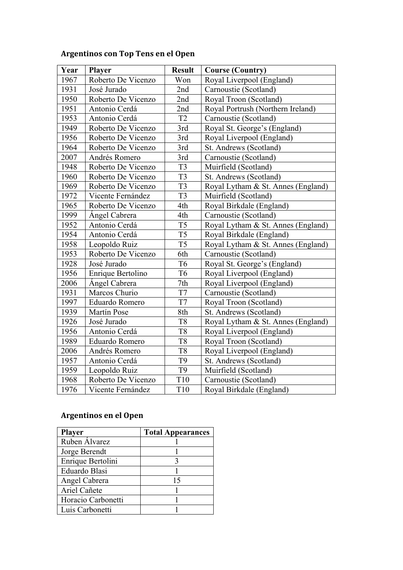## **Argentinos con Top Tens en el Open**

| Year | <b>Player</b>      | <b>Result</b>  | <b>Course (Country)</b>            |
|------|--------------------|----------------|------------------------------------|
| 1967 | Roberto De Vicenzo | Won            | Royal Liverpool (England)          |
| 1931 | José Jurado        | 2nd            | Carnoustie (Scotland)              |
| 1950 | Roberto De Vicenzo | 2nd            | Royal Troon (Scotland)             |
| 1951 | Antonio Cerdá      | 2nd            | Royal Portrush (Northern Ireland)  |
| 1953 | Antonio Cerdá      | T <sub>2</sub> | Carnoustie (Scotland)              |
| 1949 | Roberto De Vicenzo | 3rd            | Royal St. George's (England)       |
| 1956 | Roberto De Vicenzo | 3rd            | Royal Liverpool (England)          |
| 1964 | Roberto De Vicenzo | 3rd            | St. Andrews (Scotland)             |
| 2007 | Andrés Romero      | 3rd            | Carnoustie (Scotland)              |
| 1948 | Roberto De Vicenzo | T <sub>3</sub> | Muirfield (Scotland)               |
| 1960 | Roberto De Vicenzo | T <sub>3</sub> | St. Andrews (Scotland)             |
| 1969 | Roberto De Vicenzo | T <sub>3</sub> | Royal Lytham & St. Annes (England) |
| 1972 | Vicente Fernández  | T <sub>3</sub> | Muirfield (Scotland)               |
| 1965 | Roberto De Vicenzo | 4th            | Royal Birkdale (England)           |
| 1999 | Angel Cabrera      | 4th            | Carnoustie (Scotland)              |
| 1952 | Antonio Cerdá      | T <sub>5</sub> | Royal Lytham & St. Annes (England) |
| 1954 | Antonio Cerdá      | T <sub>5</sub> | Royal Birkdale (England)           |
| 1958 | Leopoldo Ruiz      | T <sub>5</sub> | Royal Lytham & St. Annes (England) |
| 1953 | Roberto De Vicenzo | 6th            | Carnoustie (Scotland)              |
| 1928 | José Jurado        | T <sub>6</sub> | Royal St. George's (England)       |
| 1956 | Enrique Bertolino  | T <sub>6</sub> | Royal Liverpool (England)          |
| 2006 | Ángel Cabrera      | 7th            | Royal Liverpool (England)          |
| 1931 | Marcos Churio      | T7             | Carnoustie (Scotland)              |
| 1997 | Eduardo Romero     | T7             | Royal Troon (Scotland)             |
| 1939 | <b>Martín Pose</b> | 8th            | St. Andrews (Scotland)             |
| 1926 | José Jurado        | T <sub>8</sub> | Royal Lytham & St. Annes (England) |
| 1956 | Antonio Cerdá      | T <sub>8</sub> | Royal Liverpool (England)          |
| 1989 | Eduardo Romero     | T <sub>8</sub> | Royal Troon (Scotland)             |
| 2006 | Andrés Romero      | T <sub>8</sub> | Royal Liverpool (England)          |
| 1957 | Antonio Cerdá      | T <sub>9</sub> | St. Andrews (Scotland)             |
| 1959 | Leopoldo Ruiz      | T <sub>9</sub> | Muirfield (Scotland)               |
| 1968 | Roberto De Vicenzo | <b>T10</b>     | Carnoustie (Scotland)              |
| 1976 | Vicente Fernández  | T10            | Royal Birkdale (England)           |

## **Argentinos en el Open**

| <b>Player</b>      | <b>Total Appearances</b> |
|--------------------|--------------------------|
| Ruben Álvarez      |                          |
| Jorge Berendt      |                          |
| Enrique Bertolini  |                          |
| Eduardo Blasi      |                          |
| Angel Cabrera      | 15                       |
| Ariel Cañete       |                          |
| Horacio Carbonetti |                          |
| Luis Carbonetti    |                          |